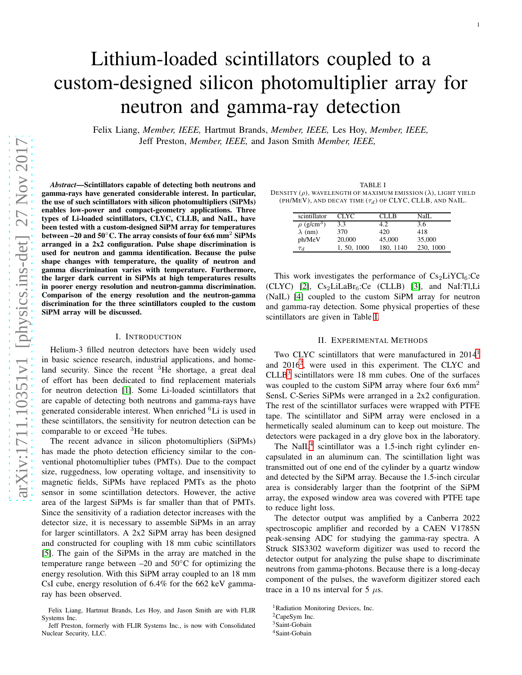# Lithium-loaded scintillators coupled to a custom-designed silicon photomultiplier array for neutron and gamma-ray detection

Felix Liang, *Member, IEEE,* Hartmut Brands, *Member, IEEE,* Les Hoy, *Member, IEEE,* Jeff Preston, *Member, IEEE,* and Jason Smith *Member, IEEE,*

*Abstract*—Scintillators capable of detecting both neutrons and gamma-rays have generated considerable interest. In particular, the use of such scintillators with silicon photomultipliers (SiPMs) enables low-power and compact-geometry applications. Three types of Li-loaded scintillators, CLYC, CLLB, and NaIL, have been tested with a custom-designed SiPM array for temperatures between –20 and  $50^{\circ}$ C. The array consists of four 6x6 mm<sup>2</sup> SiPMs arranged in a 2x2 configuration. Pulse shape discrimination is used for neutron and gamma identification. Because the pulse shape changes with temperature, the quality of neutron and gamma discrimination varies with temperature. Furthermore, the larger dark current in SiPMs at high temperatures results in poorer energy resolution and neutron-gamma discrimination. Comparison of the energy resolution and the neutron-gamma discrimination for the three scintillators coupled to the custom SiPM array will be discussed.

#### I. INTRODUCTION

Helium-3 filled neutron detectors have been widely used in basic science research, industrial applications, and homeland security. Since the recent  ${}^{3}$ He shortage, a great deal of effort has been dedicated to find replacement materials for neutron detection [\[1\]](#page-4-0). Some Li-loaded scintillators that are capable of detecting both neutrons and gamma-rays have generated considerable interest. When enriched <sup>6</sup>Li is used in these scintillators, the sensitivity for neutron detection can be comparable to or exceed <sup>3</sup>He tubes.

The recent advance in silicon photomultipliers (SiPMs) has made the photo detection efficiency similar to the conventional photomultiplier tubes (PMTs). Due to the compact size, ruggedness, low operating voltage, and insensitivity to magnetic fields, SiPMs have replaced PMTs as the photo sensor in some scintillation detectors. However, the active area of the largest SiPMs is far smaller than that of PMTs. Since the sensitivity of a radiation detector increases with the detector size, it is necessary to assemble SiPMs in an array for larger scintillators. A 2x2 SiPM array has been designed and constructed for coupling with 18 mm cubic scintillators [\[5\]](#page-4-1). The gain of the SiPMs in the array are matched in the temperature range between  $-20$  and  $50^{\circ}$ C for optimizing the energy resolution. With this SiPM array coupled to an 18 mm CsI cube, energy resolution of 6.4% for the 662 keV gammaray has been observed.

Felix Liang, Hartmut Brands, Les Hoy, and Jason Smith are with FLIR Systems Inc.

<span id="page-0-0"></span>TABLE I DENSITY  $(\rho)$ , WAVELENGTH OF MAXIMUM EMISSION  $(\lambda)$ , LIGHT YIELD (PH/MEV), AND DECAY TIME  $(\tau_d)$  OF CLYC, CLLB, AND NAIL.

1

| scintillator                | <b>CLYC</b> | CLL R     | NaIL      |
|-----------------------------|-------------|-----------|-----------|
| $\rho$ (g/cm <sup>3</sup> ) | 3.3         |           | 3.6       |
| $\lambda$ (nm)              | 370         | 420       | 418       |
| ph/MeV                      | 20,000      | 45,000    | 35,000    |
| $\tau_d$                    | 1, 50, 1000 | 180, 1140 | 230, 1000 |

This work investigates the performance of  $Cs<sub>2</sub>LiYCl<sub>6</sub>:Ce$  $(CLYC)$  [\[2\]](#page-4-2),  $Cs<sub>2</sub>LiLaBr<sub>6</sub>:Ce$   $(CLLB)$  [\[3\]](#page-4-3), and NaI:Tl,Li (NaIL) [\[4\]](#page-4-4) coupled to the custom SiPM array for neutron and gamma-ray detection. Some physical properties of these scintillators are given in Table [I.](#page-0-0)

## II. EXPERIMENTAL METHODS

Two CLYC scintillators that were manufactured in 20[1](#page-0-1)4<sup>1</sup> and [2](#page-0-2)016<sup>2</sup>, were used in this experiment. The CLYC and  $CLLB<sup>3</sup>$  $CLLB<sup>3</sup>$  $CLLB<sup>3</sup>$  scintillators were 18 mm cubes. One of the surfaces was coupled to the custom SiPM array where four  $6x6$  mm<sup>2</sup> SensL C-Series SiPMs were arranged in a 2x2 configuration. The rest of the scintillator surfaces were wrapped with PTFE tape. The scintillator and SiPM array were enclosed in a hermetically sealed aluminum can to keep out moisture. The detectors were packaged in a dry glove box in the laboratory.

The NaIL<sup>[4](#page-0-4)</sup> scintillator was a 1.5-inch right cylinder encapsulated in an aluminum can. The scintillation light was transmitted out of one end of the cylinder by a quartz window and detected by the SiPM array. Because the 1.5-inch circular area is considerably larger than the footprint of the SiPM array, the exposed window area was covered with PTFE tape to reduce light loss.

The detector output was amplified by a Canberra 2022 spectroscopic amplifier and recorded by a CAEN V1785N peak-sensing ADC for studying the gamma-ray spectra. A Struck SIS3302 waveform digitizer was used to record the detector output for analyzing the pulse shape to discriminate neutrons from gamma-photons. Because there is a long-decay component of the pulses, the waveform digitizer stored each trace in a 10 ns interval for 5  $\mu$ s.

Jeff Preston, formerly with FLIR Systems Inc., is now with Consolidated Nuclear Security, LLC.

<sup>&</sup>lt;sup>1</sup>Radiation Monitoring Devices, Inc.

<span id="page-0-1"></span><sup>2</sup>CapeSym Inc.

<span id="page-0-2"></span><sup>&</sup>lt;sup>3</sup>Saint-Gobain

<span id="page-0-4"></span><span id="page-0-3"></span><sup>4</sup>Saint-Gobain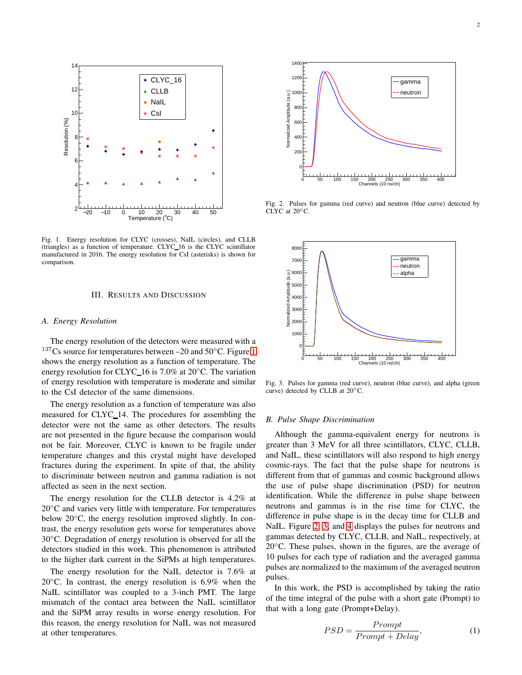

<span id="page-1-0"></span>Fig. 1. Energy resolution for CLYC (crosses), NaIL (circles), and CLLB (triangles) as a function of temperature. CLYC 16 is the CLYC scintillator manufactured in 2016. The energy resolution for CsI (asterisks) is shown for comparison.

## III. RESULTS AND DISCUSSION

#### *A. Energy Resolution*

The energy resolution of the detectors were measured with a  $137Cs$  source for temperatures between –20 and  $50°C$ . Figure [1](#page-1-0) shows the energy resolution as a function of temperature. The energy resolution for CLYC\_16 is 7.0% at  $20^{\circ}$ C. The variation of energy resolution with temperature is moderate and similar to the CsI detector of the same dimensions.

The energy resolution as a function of temperature was also measured for CLYC 14. The procedures for assembling the detector were not the same as other detectors. The results are not presented in the figure because the comparison would not be fair. Moreover, CLYC is known to be fragile under temperature changes and this crystal might have developed fractures during the experiment. In spite of that, the ability to discriminate between neutron and gamma radiation is not affected as seen in the next section.

The energy resolution for the CLLB detector is 4.2% at 20<sup>°</sup>C and varies very little with temperature. For temperatures below 20◦C, the energy resolution improved slightly. In contrast, the energy resolution gets worse for temperatures above 30◦C. Degradation of energy resolution is observed for all the detectors studied in this work. This phenomenon is attributed to the higher dark current in the SiPMs at high temperatures.

The energy resolution for the NaIL detector is 7.6% at 20 $\degree$ C. In contrast, the energy resolution is 6.9% when the NaIL scintillator was coupled to a 3-inch PMT. The large mismatch of the contact area between the NaIL scintillator and the SiPM array results in worse energy resolution. For this reason, the energy resolution for NaIL was not measured at other temperatures.



<span id="page-1-1"></span>Fig. 2. Pulses for gamma (red curve) and neutron (blue curve) detected by CLYC at 20◦C.



<span id="page-1-2"></span>Fig. 3. Pulses for gamma (red curve), neutron (blue curve), and alpha (green curve) detected by CLLB at 20◦C.

#### *B. Pulse Shape Discrimination*

Although the gamma-equivalent energy for neutrons is greater than 3 MeV for all three scintillators, CLYC, CLLB, and NaIL, these scintillators will also respond to high energy cosmic-rays. The fact that the pulse shape for neutrons is different from that of gammas and cosmic background allows the use of pulse shape discrimination (PSD) for neutron identification. While the difference in pulse shape between neutrons and gammas is in the rise time for CLYC, the difference in pulse shape is in the decay time for CLLB and NaIL. Figure [2,](#page-1-1) [3,](#page-1-2) and [4](#page-2-0) displays the pulses for neutrons and gammas detected by CLYC, CLLB, and NaIL, respectively, at 20◦C. These pulses, shown in the figures, are the average of 10 pulses for each type of radiation and the averaged gamma pulses are normalized to the maximum of the averaged neutron pulses.

In this work, the PSD is accomplished by taking the ratio of the time integral of the pulse with a short gate (Prompt) to that with a long gate (Prompt+Delay).

$$
PSD = \frac{Prompt}{Prompt + Delay},\tag{1}
$$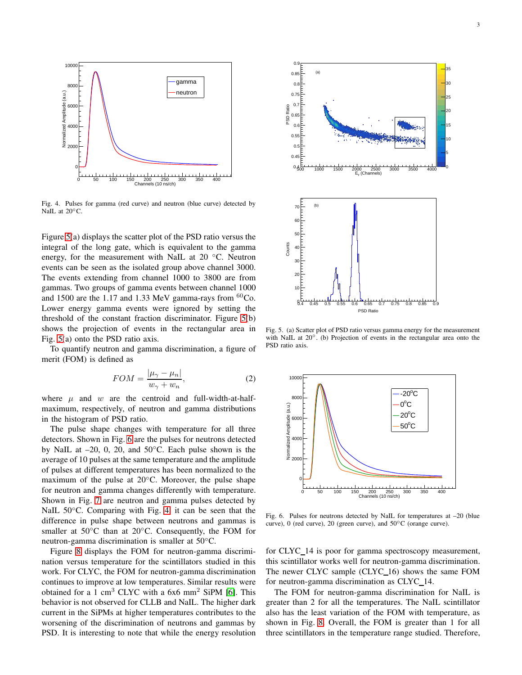

<span id="page-2-0"></span>Fig. 4. Pulses for gamma (red curve) and neutron (blue curve) detected by NaIL at 20<sup>°</sup>C.

Figure [5\(](#page-2-1)a) displays the scatter plot of the PSD ratio versus the integral of the long gate, which is equivalent to the gamma energy, for the measurement with NaIL at 20 °C. Neutron events can be seen as the isolated group above channel 3000. The events extending from channel 1000 to 3800 are from gammas. Two groups of gamma events between channel 1000 and 1500 are the 1.17 and 1.33 MeV gamma-rays from  ${}^{60}Co$ . Lower energy gamma events were ignored by setting the threshold of the constant fraction discriminator. Figure [5\(](#page-2-1)b) shows the projection of events in the rectangular area in Fig. [5\(](#page-2-1)a) onto the PSD ratio axis.

To quantify neutron and gamma discrimination, a figure of merit (FOM) is defined as

$$
FOM = \frac{|\mu_{\gamma} - \mu_n|}{w_{\gamma} + w_n},\tag{2}
$$

where  $\mu$  and  $w$  are the centroid and full-width-at-halfmaximum, respectively, of neutron and gamma distributions in the histogram of PSD ratio.

The pulse shape changes with temperature for all three detectors. Shown in Fig. [6](#page-2-2) are the pulses for neutrons detected by NaIL at  $-20$ , 0, 20, and  $50^{\circ}$ C. Each pulse shown is the average of 10 pulses at the same temperature and the amplitude of pulses at different temperatures has been normalized to the maximum of the pulse at  $20^{\circ}$ C. Moreover, the pulse shape for neutron and gamma changes differently with temperature. Shown in Fig. [7](#page-3-0) are neutron and gamma pulses detected by NaIL 50◦C. Comparing with Fig. [4,](#page-2-0) it can be seen that the difference in pulse shape between neutrons and gammas is smaller at  $50^{\circ}$ C than at  $20^{\circ}$ C. Consequently, the FOM for neutron-gamma discrimination is smaller at 50<sup>°</sup>C.

Figure [8](#page-3-1) displays the FOM for neutron-gamma discrimination versus temperature for the scintillators studied in this work. For CLYC, the FOM for neutron-gamma discrimination continues to improve at low temperatures. Similar results were obtained for a 1 cm<sup>3</sup> CLYC with a  $6x6$  mm<sup>2</sup> SiPM [\[6\]](#page-4-5). This behavior is not observed for CLLB and NaIL. The higher dark current in the SiPMs at higher temperatures contributes to the worsening of the discrimination of neutrons and gammas by PSD. It is interesting to note that while the energy resolution



<span id="page-2-1"></span>Fig. 5. (a) Scatter plot of PSD ratio versus gamma energy for the measurement with NaIL at  $20^\circ$ . (b) Projection of events in the rectangular area onto the PSD ratio axis.



<span id="page-2-2"></span>Fig. 6. Pulses for neutrons detected by NaIL for temperatures at –20 (blue curve), 0 (red curve), 20 (green curve), and 50◦C (orange curve).

for CLYC\_14 is poor for gamma spectroscopy measurement, this scintillator works well for neutron-gamma discrimination. The newer CLYC sample (CLYC\_16) shows the same FOM for neutron-gamma discrimination as CLYC\_14.

The FOM for neutron-gamma discrimination for NaIL is greater than 2 for all the temperatures. The NaIL scintillator also has the least variation of the FOM with temperature, as shown in Fig. [8.](#page-3-1) Overall, the FOM is greater than 1 for all three scintillators in the temperature range studied. Therefore,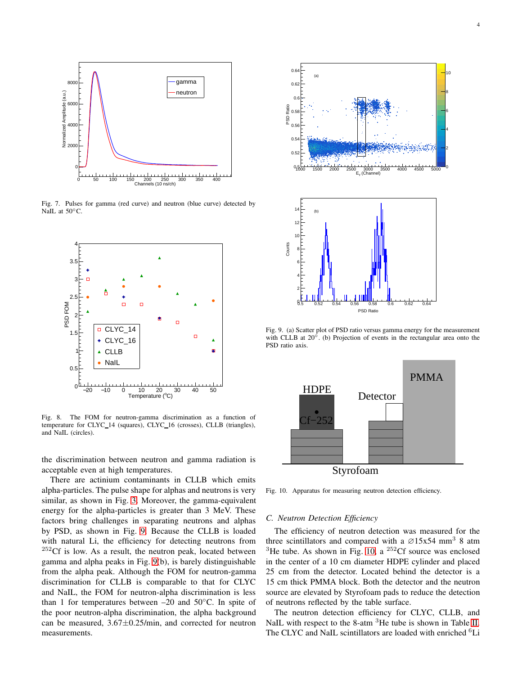

<span id="page-3-0"></span>Fig. 7. Pulses for gamma (red curve) and neutron (blue curve) detected by NaIL at 50°C.



<span id="page-3-1"></span>Fig. 8. The FOM for neutron-gamma discrimination as a function of temperature for CLYC\_14 (squares), CLYC\_16 (crosses), CLLB (triangles), and NaIL (circles).

the discrimination between neutron and gamma radiation is acceptable even at high temperatures.

There are actinium contaminants in CLLB which emits alpha-particles. The pulse shape for alphas and neutrons is very similar, as shown in Fig. [3.](#page-1-2) Moreover, the gamma-equivalent energy for the alpha-particles is greater than 3 MeV. These factors bring challenges in separating neutrons and alphas by PSD, as shown in Fig. [9.](#page-3-2) Because the CLLB is loaded with natural Li, the efficiency for detecting neutrons from  $252Cf$  is low. As a result, the neutron peak, located between gamma and alpha peaks in Fig. [9\(](#page-3-2)b), is barely distinguishable from the alpha peak. Although the FOM for neutron-gamma discrimination for CLLB is comparable to that for CLYC and NaIL, the FOM for neutron-alpha discrimination is less than 1 for temperatures between  $-20$  and  $50^{\circ}$ C. In spite of the poor neutron-alpha discrimination, the alpha background can be measured,  $3.67 \pm 0.25$ /min, and corrected for neutron measurements.



<span id="page-3-2"></span>Fig. 9. (a) Scatter plot of PSD ratio versus gamma energy for the measurement with CLLB at  $20^\circ$ . (b) Projection of events in the rectangular area onto the PSD ratio axis.

0.5 0.52 0.54 0.56 0.58 0.6 0.62 0.64 PSD Ratio



<span id="page-3-3"></span>Fig. 10. Apparatus for measuring neutron detection efficiency.

#### *C. Neutron Detection Efficiency*

 $\mathsf q$ 2

The efficiency of neutron detection was measured for the three scintillators and compared with a  $\varnothing$ 15x54 mm<sup>3</sup> 8 atm <sup>3</sup>He tube. As shown in Fig. [10,](#page-3-3) a <sup>252</sup>Cf source was enclosed in the center of a 10 cm diameter HDPE cylinder and placed 25 cm from the detector. Located behind the detector is a 15 cm thick PMMA block. Both the detector and the neutron source are elevated by Styrofoam pads to reduce the detection of neutrons reflected by the table surface.

The neutron detection efficiency for CLYC, CLLB, and NaIL with respect to the 8-atm <sup>3</sup>He tube is shown in Table [II.](#page-4-6) The CLYC and NaIL scintillators are loaded with enriched <sup>6</sup>Li